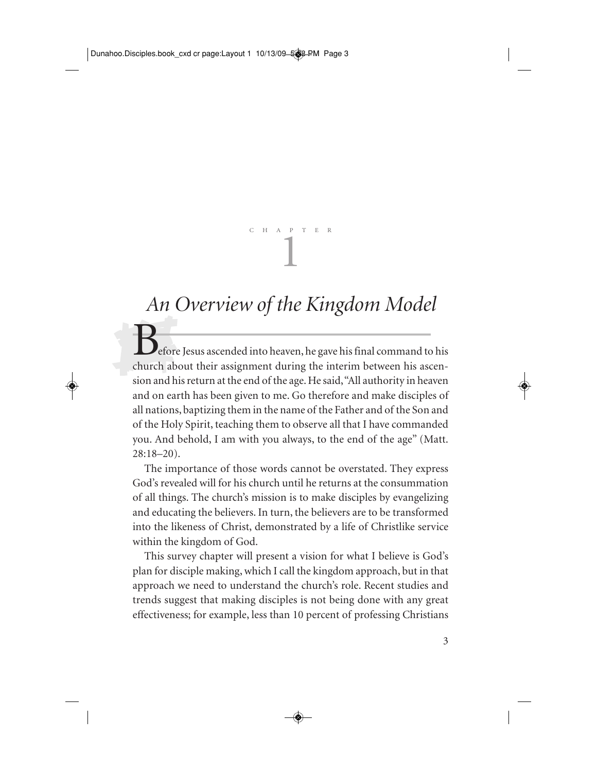# *An Overview of the Kingdom Model*

C H A P T E R

1

 $\sum_{\text{efore Jesus} \text{ ascended into hearen, he gave his final command to his church about their assignment during the interim between his ascen-}$ efore Jesus ascended into heaven, he gave his final command to his sion and his return at the end of the age. He said, "All authority in heaven and on earth has been given to me. Go therefore and make disciples of all nations, baptizing them in the name of the Father and of the Son and of the Holy Spirit, teaching them to observe all that I have commanded you. And behold, I am with you always, to the end of the age" (Matt. 28:18–20).

The importance of those words cannot be overstated. They express God's revealed will for his church until he returns at the consummation of all things. The church's mission is to make disciples by evangelizing and educating the believers. In turn, the believers are to be transformed into the likeness of Christ, demonstrated by a life of Christlike service within the kingdom of God.

This survey chapter will present a vision for what I believe is God's plan for disciple making,which I call the kingdom approach, but in that approach we need to understand the church's role. Recent studies and trends suggest that making disciples is not being done with any great effectiveness; for example, less than 10 percent of professing Christians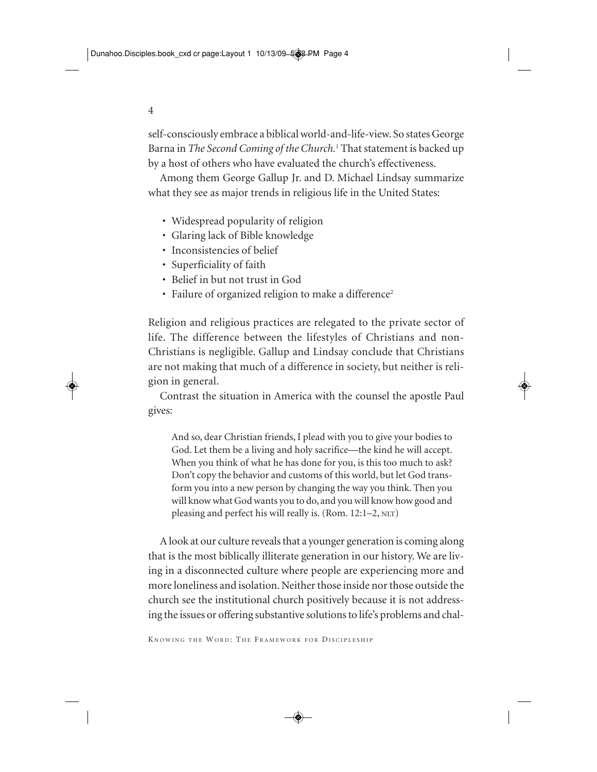self-consciously embrace a biblical world-and-life-view. So states George Barna in *The Second Coming of the Church.* <sup>1</sup> That statement is backed up by a host of others who have evaluated the church's effectiveness.

Among them George Gallup Jr. and D. Michael Lindsay summarize what they see as major trends in religious life in the United States:

- Widespread popularity of religion
- Glaring lack of Bible knowledge
- Inconsistencies of belief
- Superficiality of faith
- Belief in but not trust in God
- Failure of organized religion to make a difference<sup>2</sup>

Religion and religious practices are relegated to the private sector of life. The difference between the lifestyles of Christians and non-Christians is negligible. Gallup and Lindsay conclude that Christians are not making that much of a difference in society, but neither is religion in general.

Contrast the situation in America with the counsel the apostle Paul gives:

And so, dear Christian friends, I plead with you to give your bodies to God. Let them be a living and holy sacrifice—the kind he will accept. When you think of what he has done for you, is this too much to ask? Don't copy the behavior and customs of this world, but let God transform you into a new person by changing the way you think. Then you will know what God wants you to do, and you will know how good and pleasing and perfect his will really is. (Rom. 12:1–2, NLT)

A look at our culture reveals that a younger generation is coming along that is the most biblically illiterate generation in our history. We are living in a disconnected culture where people are experiencing more and more loneliness and isolation. Neither those inside nor those outside the church see the institutional church positively because it is not addressing the issues or offering substantive solutionsto life's problems and chal-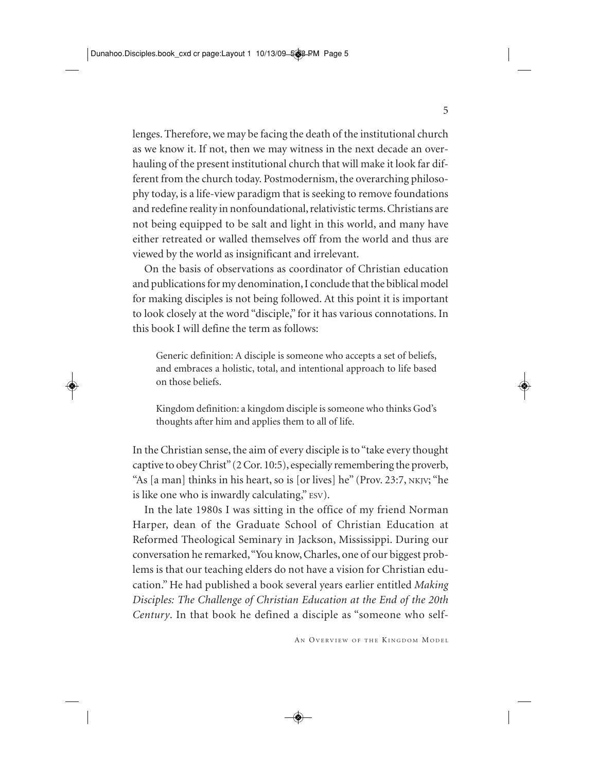lenges.Therefore,we may be facing the death of the institutional church as we know it. If not, then we may witness in the next decade an overhauling of the present institutional church that will make it look far different from the church today. Postmodernism, the overarching philosophy today, is a life-view paradigm that is seeking to remove foundations and redefine reality in nonfoundational, relativistic terms. Christians are not being equipped to be salt and light in this world, and many have either retreated or walled themselves off from the world and thus are viewed by the world as insignificant and irrelevant.

On the basis of observations as coordinator of Christian education and publications for my denomination, I conclude that the biblical model for making disciples is not being followed. At this point it is important to look closely at the word "disciple," for it has various connotations. In this book I will define the term as follows:

Generic definition: A disciple is someone who accepts a set of beliefs, and embraces a holistic, total, and intentional approach to life based on those beliefs.

Kingdom definition: a kingdom disciple is someone who thinks God's thoughts after him and applies them to all of life.

In the Christian sense, the aim of every disciple is to"take every thought captive to obeyChrist"(2Cor. 10:5), especially remembering the proverb, "As [a man] thinks in his heart, so is [or lives] he" (Prov. 23:7, NKJV; "he is like one who is inwardly calculating," ESV).

In the late 1980s I was sitting in the office of my friend Norman Harper, dean of the Graduate School of Christian Education at Reformed Theological Seminary in Jackson, Mississippi. During our conversation he remarked,"You know,Charles, one of our biggest problems is that our teaching elders do not have a vision for Christian education." He had published a book several years earlier entitled *Making Disciples: The Challenge of Christian Education at the End of the 20th Century*. In that book he defined a disciple as "someone who self-

AN OVERVIEW OF THE KINGDOM MODEL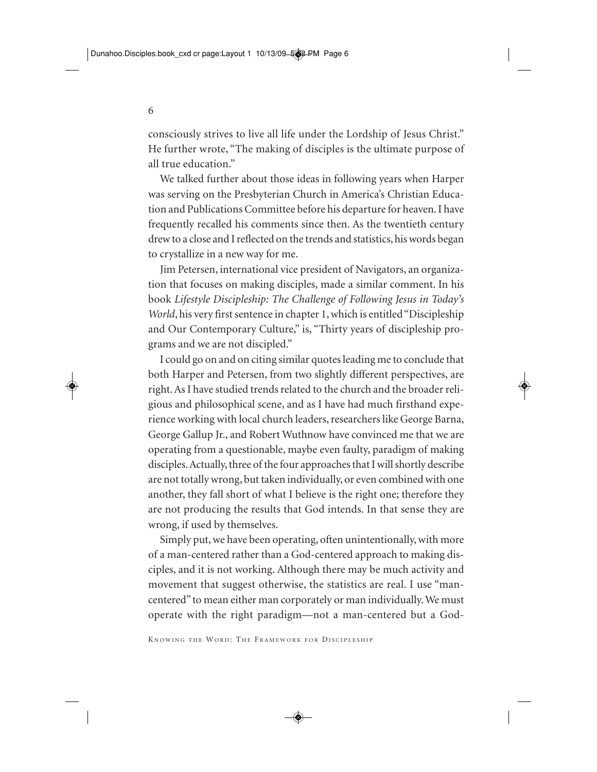consciously strives to live all life under the Lordship of Jesus Christ." He further wrote, "The making of disciples is the ultimate purpose of all true education."

We talked further about those ideas in following years when Harper was serving on the Presbyterian Church in America's Christian Education and Publications Committee before his departure for heaven.I have frequently recalled his comments since then. As the twentieth century drew to a close and I reflected on the trends and statistics, his words began to crystallize in a new way for me.

Jim Petersen, international vice president of Navigators, an organization that focuses on making disciples, made a similar comment. In his book *Lifestyle Discipleship: The Challenge of Following Jesus in Today's World*, his very first sentence in chapter 1, which is entitled "Discipleship" and Our Contemporary Culture," is, "Thirty years of discipleship programs and we are not discipled."

I could go on and on citing similar quotesleading me to conclude that both Harper and Petersen, from two slightly different perspectives, are right. As I have studied trends related to the church and the broader religious and philosophical scene, and as I have had much firsthand experience working with local church leaders, researchers like George Barna, George Gallup Jr., and Robert Wuthnow have convinced me that we are operating from a questionable, maybe even faulty, paradigm of making disciples. Actually, three of the four approaches that I will shortly describe are not totally wrong, but taken individually, or even combined with one another, they fall short of what I believe is the right one; therefore they are not producing the results that God intends. In that sense they are wrong, if used by themselves.

Simply put, we have been operating, often unintentionally, with more of a man-centered rather than a God-centered approach to making disciples, and it is not working. Although there may be much activity and movement that suggest otherwise, the statistics are real. I use "mancentered" to mean either man corporately or man individually.We must operate with the right paradigm—not a man-centered but a God-

KNOWING THE WORD: THE FRAMEWORK FOR DISCIPLESHIP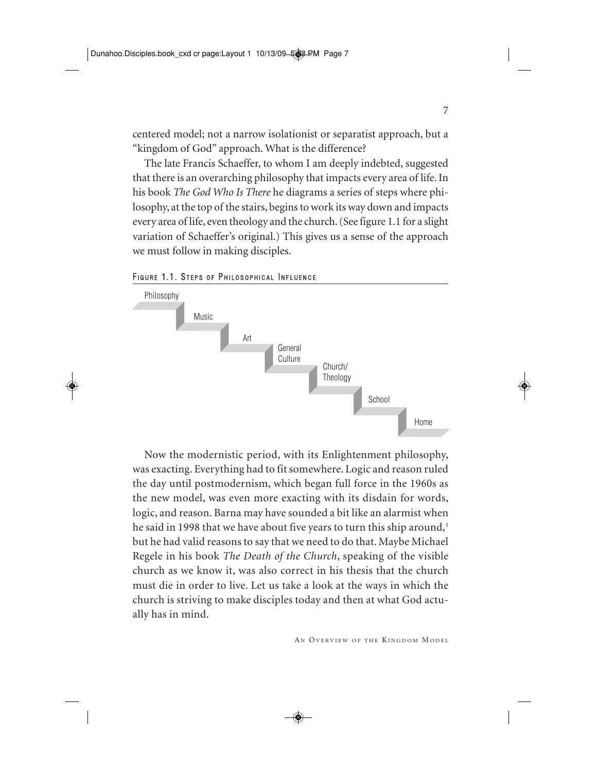centered model; not a narrow isolationist or separatist approach, but a "kingdom of God" approach. What is the difference?

The late Francis Schaeffer, to whom I am deeply indebted, suggested that there is an overarching philosophy that impacts every area of life.In his book *The God Who Is There* he diagrams a series of steps where philosophy, at the top of the stairs, begins to work its way down and impacts every area of life, even theology and the church.(See figure 1.1 for a slight variation of Schaeffer's original.) This gives us a sense of the approach we must follow in making disciples.

#### FIGURE 1.1. STEPS OF PHILOSOPHICAL INFLUENCE



Now the modernistic period, with its Enlightenment philosophy, was exacting. Everything had to fit somewhere. Logic and reason ruled the day until postmodernism, which began full force in the 1960s as the new model, was even more exacting with its disdain for words, logic, and reason. Barna may have sounded a bit like an alarmist when he said in 1998 that we have about five years to turn this ship around, 3 but he had valid reasons to say that we need to do that. Maybe Michael Regele in his book *The Death of the Church*, speaking of the visible church as we know it, was also correct in his thesis that the church must die in order to live. Let us take a look at the ways in which the church is striving to make disciples today and then at what God actually has in mind.

AN OVERVIEW OF THE KINGDOM MODEL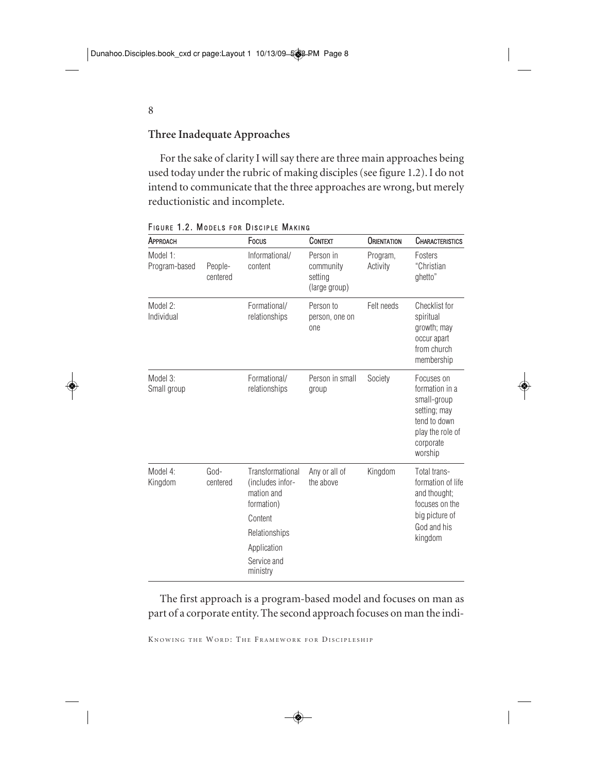# **Three Inadequate Approaches**

For the sake of clarity I will say there are three main approaches being used today under the rubric of making disciples (see figure 1.2). I do not intend to communicate that the three approaches are wrong, but merely reductionistic and incomplete.

| APPROACH                  |                     | Focus                                                                                                                                  | CONTEXT                                            | ORIENTATION          | CHARACTERISTICS                                                                                                         |
|---------------------------|---------------------|----------------------------------------------------------------------------------------------------------------------------------------|----------------------------------------------------|----------------------|-------------------------------------------------------------------------------------------------------------------------|
| Model 1:<br>Program-based | People-<br>centered | Informational/<br>content                                                                                                              | Person in<br>community<br>setting<br>(large group) | Program,<br>Activity | Fosters<br>"Christian<br>ghetto"                                                                                        |
| Model 2:<br>Individual    |                     | Formational/<br>relationships                                                                                                          | Person to<br>person, one on<br>one                 | Felt needs           | Checklist for<br>spiritual<br>growth; may<br>occur apart<br>from church<br>membership                                   |
| Model 3:<br>Small group   |                     | Formational/<br>relationships                                                                                                          | Person in small<br>group                           | Society              | Focuses on<br>formation in a<br>small-group<br>setting; may<br>tend to down<br>play the role of<br>corporate<br>worship |
| Model 4:<br>Kingdom       | $God-$<br>centered  | Transformational<br>(includes infor-<br>mation and<br>formation)<br>Content<br>Relationships<br>Application<br>Service and<br>ministry | Any or all of<br>the above                         | Kingdom              | Total trans-<br>formation of life<br>and thought;<br>focuses on the<br>big picture of<br>God and his<br>kingdom         |

FIGURE 1.2. MODELS FOR DISCIPLE MAKING

The first approach is a program-based model and focuses on man as part of a corporate entity.The second approach focuses on man the indi-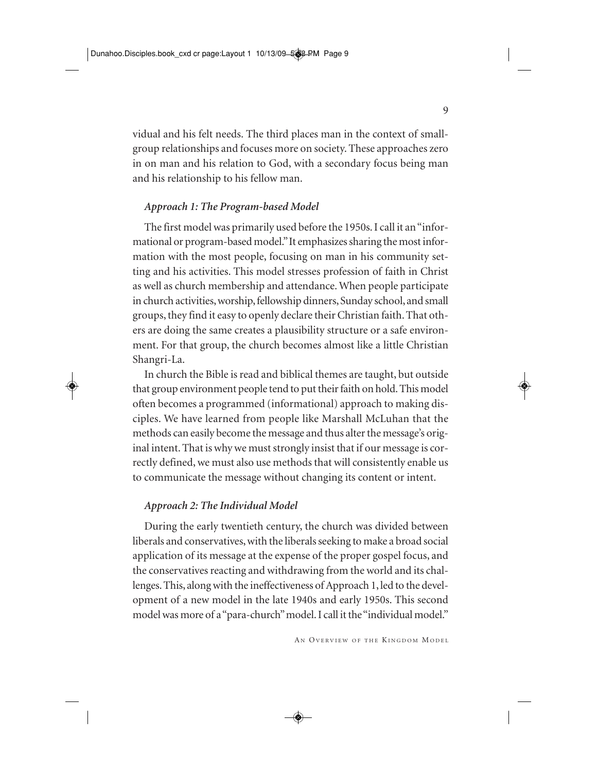vidual and his felt needs. The third places man in the context of smallgroup relationships and focuses more on society.These approaches zero in on man and his relation to God, with a secondary focus being man and his relationship to his fellow man.

### *Approach 1: The Program-based Model*

The first model was primarily used before the 1950s. I call it an "informational or program-based model." It emphasizes sharing the most information with the most people, focusing on man in his community setting and his activities. This model stresses profession of faith in Christ as well as church membership and attendance.When people participate in church activities, worship, fellowship dinners, Sunday school, and small groups,they find it easy to openly declare their Christian faith.That others are doing the same creates a plausibility structure or a safe environment. For that group, the church becomes almost like a little Christian Shangri-La.

In church the Bible is read and biblical themes are taught, but outside that group environment people tend to put their faith on hold. This model often becomes a programmed (informational) approach to making disciples. We have learned from people like Marshall McLuhan that the methods can easily become the message and thus alter the message's original intent. That is why we must strongly insist that if our message is correctly defined, we must also use methods that will consistently enable us to communicate the message without changing its content or intent.

## *Approach 2: The Individual Model*

During the early twentieth century, the church was divided between liberals and conservatives, with the liberals seeking to make a broad social application of its message at the expense of the proper gospel focus, and the conservatives reacting and withdrawing from the world and its challenges. This, along with the ineffectiveness of Approach 1, led to the development of a new model in the late 1940s and early 1950s. This second model was more of a "para-church" model. I call it the "individual model."

AN OVERVIEW OF THE KINGDOM MODEL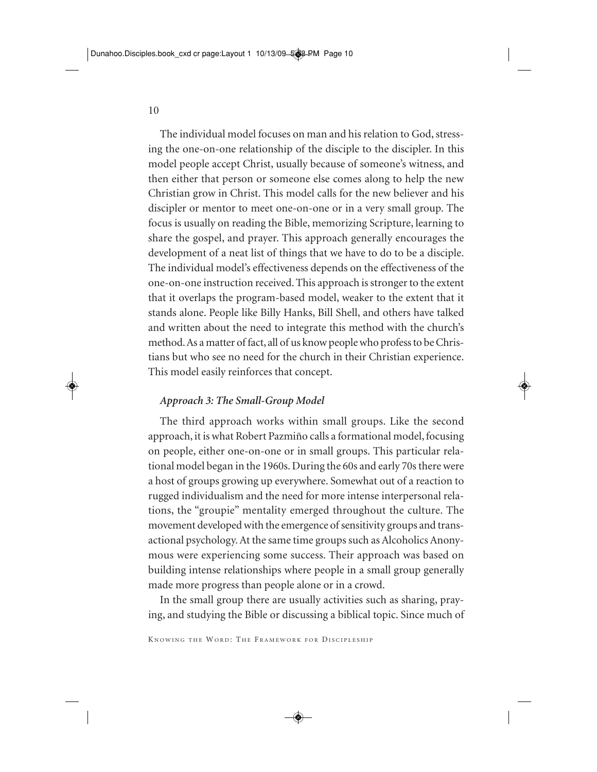The individual model focuses on man and his relation to God, stressing the one-on-one relationship of the disciple to the discipler. In this model people accept Christ, usually because of someone's witness, and then either that person or someone else comes along to help the new Christian grow in Christ. This model calls for the new believer and his discipler or mentor to meet one-on-one or in a very small group. The focus is usually on reading the Bible, memorizing Scripture, learning to share the gospel, and prayer. This approach generally encourages the development of a neat list of things that we have to do to be a disciple. The individual model's effectiveness depends on the effectiveness of the one-on-one instruction received. This approach is stronger to the extent that it overlaps the program-based model, weaker to the extent that it stands alone. People like Billy Hanks, Bill Shell, and others have talked and written about the need to integrate this method with the church's method. As a matter of fact, all of us know people who profess to be Christians but who see no need for the church in their Christian experience. This model easily reinforces that concept.

## *Approach 3: The Small-Group Model*

The third approach works within small groups. Like the second approach, it is what Robert Pazmiño calls a formational model, focusing on people, either one-on-one or in small groups. This particular relational model began in the 1960s. During the 60s and early 70s there were a host of groups growing up everywhere. Somewhat out of a reaction to rugged individualism and the need for more intense interpersonal relations, the "groupie" mentality emerged throughout the culture. The movement developed with the emergence of sensitivity groups and transactional psychology.At the same time groups such as Alcoholics Anonymous were experiencing some success. Their approach was based on building intense relationships where people in a small group generally made more progress than people alone or in a crowd.

In the small group there are usually activities such as sharing, praying, and studying the Bible or discussing a biblical topic. Since much of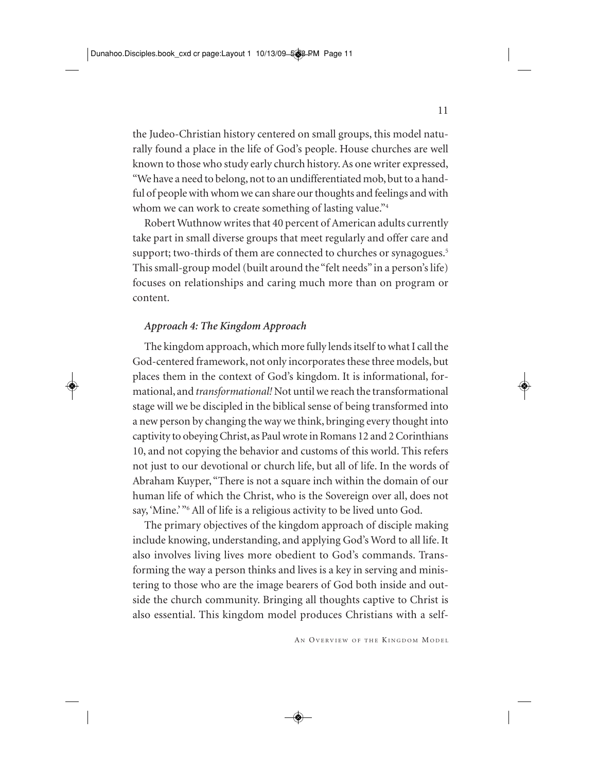the Judeo-Christian history centered on small groups, this model naturally found a place in the life of God's people. House churches are well known to those who study early church history.As one writer expressed, "We have a need to belong, not to an undifferentiated mob, but to a handful of people with whom we can share our thoughts and feelings and with whom we can work to create something of lasting value."<sup>4</sup>

Robert Wuthnow writes that 40 percent of American adults currently take part in small diverse groups that meet regularly and offer care and support; two-thirds of them are connected to churches or synagogues. 5 This small-group model(built around the "felt needs" in a person's life) focuses on relationships and caring much more than on program or content.

# *Approach 4: The Kingdom Approach*

The kingdom approach, which more fully lends itself to what I call the God-centered framework, not only incorporates these three models, but places them in the context of God's kingdom. It is informational, formational, and *transformational!* Not until we reach the transformational stage will we be discipled in the biblical sense of being transformed into a new person by changing the way we think, bringing every thought into captivity to obeyingChrist, as Paulwrote inRomans 12 and 2Corinthians 10, and not copying the behavior and customs of this world. This refers not just to our devotional or church life, but all of life. In the words of Abraham Kuyper, "There is not a square inch within the domain of our human life of which the Christ, who is the Sovereign over all, does not say, 'Mine.' "<sup>6</sup> All of life is a religious activity to be lived unto God.

The primary objectives of the kingdom approach of disciple making include knowing, understanding, and applying God's Word to all life. It also involves living lives more obedient to God's commands. Transforming the way a person thinks and lives is a key in serving and ministering to those who are the image bearers of God both inside and outside the church community. Bringing all thoughts captive to Christ is also essential. This kingdom model produces Christians with a self-

AN OVERVIEW OF THE KINGDOM MODEL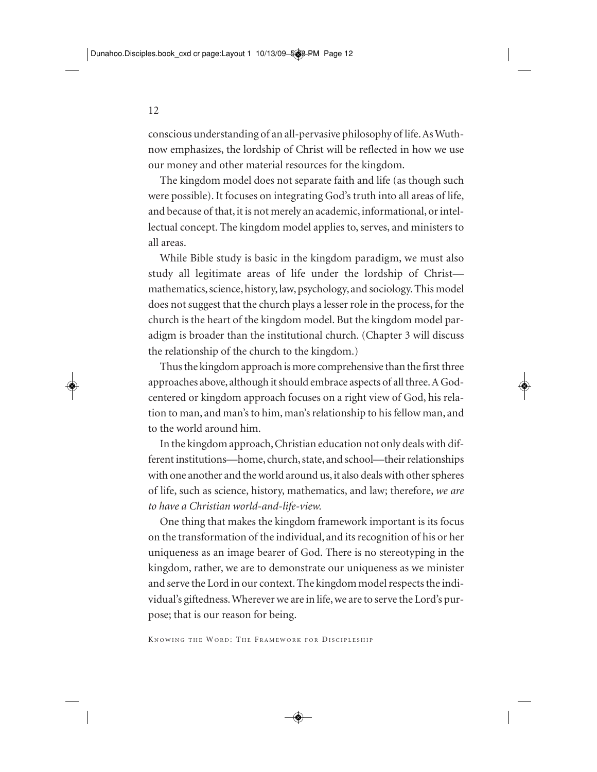conscious understanding of an all-pervasive philosophy of life. As Wuthnow emphasizes, the lordship of Christ will be reflected in how we use our money and other material resources for the kingdom.

The kingdom model does not separate faith and life (as though such were possible). It focuses on integrating God's truth into all areas of life, and because of that, it is not merely an academic, informational, or intellectual concept. The kingdom model applies to, serves, and ministers to all areas.

While Bible study is basic in the kingdom paradigm, we must also study all legitimate areas of life under the lordship of Christ mathematics, science, history, law, psychology, and sociology. This model does not suggest that the church plays a lesser role in the process, for the church is the heart of the kingdom model. But the kingdom model paradigm is broader than the institutional church. (Chapter 3 will discuss the relationship of the church to the kingdom.)

Thus the kingdom approach is more comprehensive than the first three approaches above, although it should embrace aspects of all three. A Godcentered or kingdom approach focuses on a right view of God, his relation to man, and man's to him, man's relationship to his fellow man, and to the world around him.

In the kingdom approach,Christian education not only dealswith different institutions—home, church, state, and school—their relationships with one another and the world around us, it also deals with other spheres of life, such as science, history, mathematics, and law; therefore, *we are to have a Christian world-and-life-view.*

One thing that makes the kingdom framework important is its focus on the transformation of the individual, and itsrecognition of his or her uniqueness as an image bearer of God. There is no stereotyping in the kingdom, rather, we are to demonstrate our uniqueness as we minister and serve the Lord in our context. The kingdom model respects the individual's giftedness. Wherever we are in life, we are to serve the Lord's purpose; that is our reason for being.

KNOWING THE WORD: THE FRAMEWORK FOR DISCIPLESHIP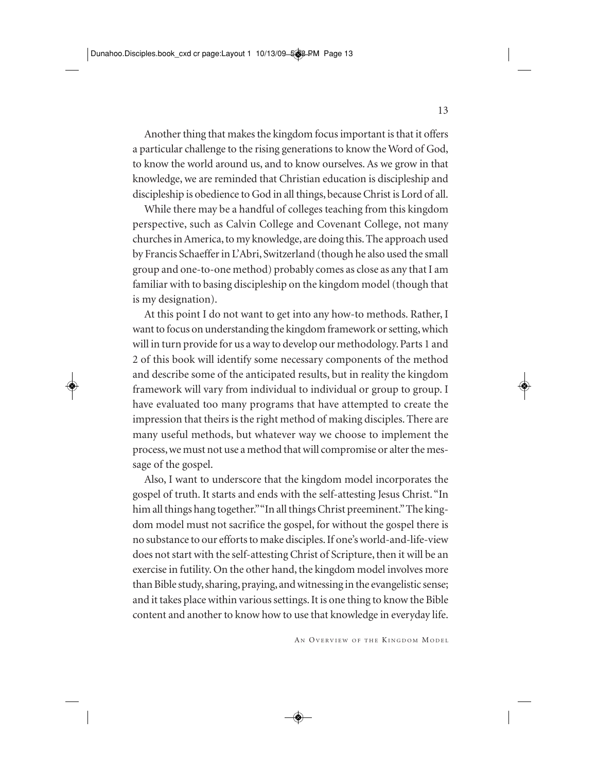Another thing that makes the kingdom focus important is that it offers a particular challenge to the rising generations to know the Word of God, to know the world around us, and to know ourselves. As we grow in that knowledge, we are reminded that Christian education is discipleship and discipleship is obedience to God in all things, becauseChrist is Lord of all.

While there may be a handful of colleges teaching from this kingdom perspective, such as Calvin College and Covenant College, not many churchesinAmerica,to my knowledge, are doing this.The approach used by Francis Schaefferin L'Abri, Switzerland (though he also used the small group and one-to-one method) probably comes as close as any that I am familiar with to basing discipleship on the kingdom model(though that is my designation).

At this point I do not want to get into any how-to methods. Rather, I want to focus on understanding the kingdom framework or setting, which will in turn provide for us away to develop our methodology.Parts 1 and 2 of this book will identify some necessary components of the method and describe some of the anticipated results, but in reality the kingdom framework will vary from individual to individual or group to group. I have evaluated too many programs that have attempted to create the impression that theirs is the right method of making disciples. There are many useful methods, but whatever way we choose to implement the process, we must not use a method that will compromise or alter the message of the gospel.

Also, I want to underscore that the kingdom model incorporates the gospel of truth. It starts and ends with the self-attesting Jesus Christ. "In him all things hang together." "In all things Christ preeminent." The kingdom model must not sacrifice the gospel, for without the gospel there is no substance to our efforts to make disciples. If one's world-and-life-view does not start with the self-attesting Christ of Scripture, then it will be an exercise in futility. On the other hand, the kingdom model involves more than Bible study, sharing, praying, and witnessing in the evangelistic sense; and it takes place within various settings. It is one thing to know the Bible content and another to know how to use that knowledge in everyday life.

AN OVERVIEW OF THE KINGDOM MODEL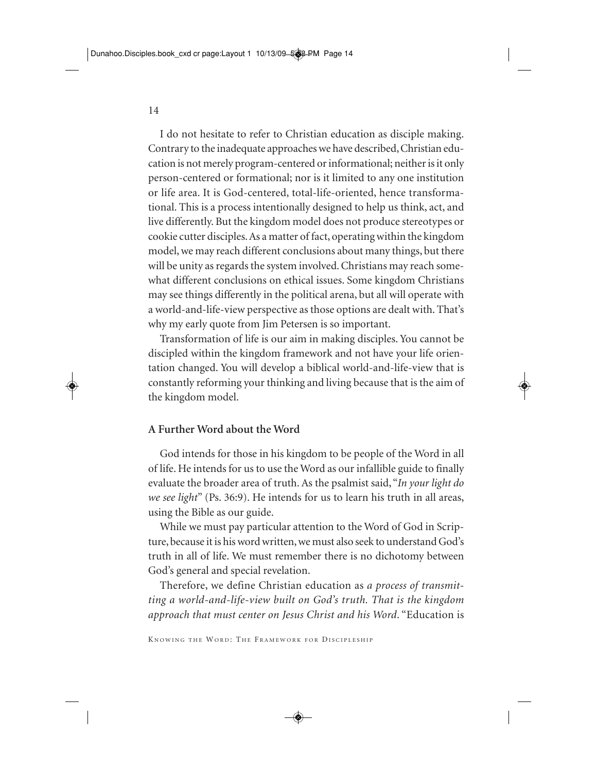I do not hesitate to refer to Christian education as disciple making. Contrary to the inadequate approaches we have described, Christian education is not merely program-centered or informational; neither is it only person-centered or formational; nor is it limited to any one institution or life area. It is God-centered, total-life-oriented, hence transformational. This is a process intentionally designed to help us think, act, and live differently. But the kingdom model does not produce stereotypes or cookie cutter disciples.As a matter of fact, operatingwithin the kingdom model, we may reach different conclusions about many things, but there will be unity as regards the system involved. Christians may reach somewhat different conclusions on ethical issues. Some kingdom Christians may see things differently in the political arena, but all will operate with a world-and-life-view perspective as those options are dealt with. That's why my early quote from Jim Petersen is so important.

Transformation of life is our aim in making disciples. You cannot be discipled within the kingdom framework and not have your life orientation changed. You will develop a biblical world-and-life-view that is constantly reforming your thinking and living because that is the aim of the kingdom model.

## **A Further Word about the Word**

God intends for those in his kingdom to be people of the Word in all of life. He intends for us to use the Word as our infallible guide to finally evaluate the broader area of truth. As the psalmist said, "*In your light do we see light*" (Ps. 36:9). He intends for us to learn his truth in all areas, using the Bible as our guide.

While we must pay particular attention to the Word of God in Scripture, because it is his word written, we must also seek to understand God's truth in all of life. We must remember there is no dichotomy between God's general and special revelation.

Therefore, we define Christian education as *a process of transmitting a world-and-life-view built on God's truth. That is the kingdom approach that must center on Jesus Christ and his Word*. "Education is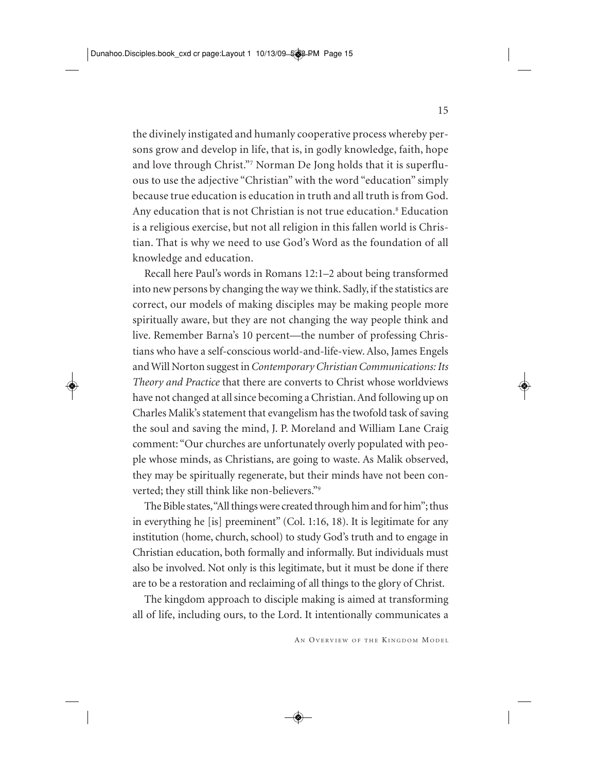the divinely instigated and humanly cooperative process whereby persons grow and develop in life, that is, in godly knowledge, faith, hope and love through Christ."7 Norman De Jong holds that it is superfluous to use the adjective "Christian" with the word "education" simply because true education is education in truth and all truth is from God. Any education that is not Christian is not true education. <sup>8</sup> Education is a religious exercise, but not all religion in this fallen world is Christian. That is why we need to use God's Word as the foundation of all knowledge and education.

Recall here Paul's words in Romans 12:1–2 about being transformed into new persons by changing the way we think. Sadly, if the statistics are correct, our models of making disciples may be making people more spiritually aware, but they are not changing the way people think and live. Remember Barna's 10 percent—the number of professing Christians who have a self-conscious world-and-life-view.Also, James Engels andWill Norton suggest in*ContemporaryChristianCommunications:Its Theory and Practice* that there are converts to Christ whose worldviews have not changed at all since becoming a Christian. And following up on Charles Malik's statement that evangelism has the twofold task of saving the soul and saving the mind, J. P. Moreland and William Lane Craig comment: "Our churches are unfortunately overly populated with people whose minds, as Christians, are going to waste. As Malik observed, they may be spiritually regenerate, but their minds have not been converted; they still think like non-believers."9

The Bible states, "All things were created through him and for him"; thus in everything he [is] preeminent" (Col. 1:16, 18). It is legitimate for any institution (home, church, school) to study God's truth and to engage in Christian education, both formally and informally. But individuals must also be involved. Not only is this legitimate, but it must be done if there are to be a restoration and reclaiming of all things to the glory of Christ.

The kingdom approach to disciple making is aimed at transforming all of life, including ours, to the Lord. It intentionally communicates a

AN OVERVIEW OF THE KINGDOM MODEL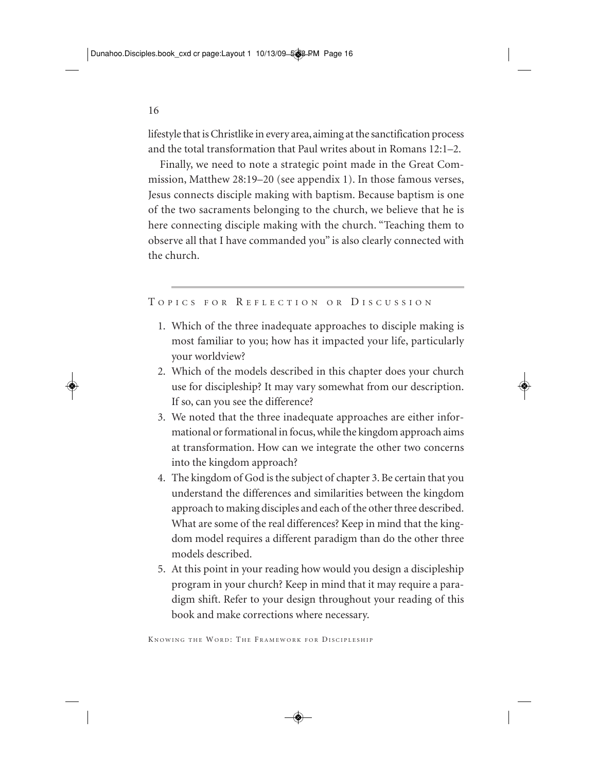lifestyle that is Christlike in every area, aiming at the sanctification process and the total transformation that Paul writes about in Romans 12:1–2.

Finally, we need to note a strategic point made in the Great Commission, Matthew 28:19–20 (see appendix 1). In those famous verses, Jesus connects disciple making with baptism. Because baptism is one of the two sacraments belonging to the church, we believe that he is here connecting disciple making with the church. "Teaching them to observe all that I have commanded you" is also clearly connected with the church.

# TOPICS FOR REFLECTION OR DISCUSSION

- 1. Which of the three inadequate approaches to disciple making is most familiar to you; how has it impacted your life, particularly your worldview?
- 2. Which of the models described in this chapter does your church use for discipleship? It may vary somewhat from our description. If so, can you see the difference?
- 3. We noted that the three inadequate approaches are either informational or formational in focus, while the kingdom approach aims at transformation. How can we integrate the other two concerns into the kingdom approach?
- 4. The kingdom of God isthe subject of chapter 3.Be certain that you understand the differences and similarities between the kingdom approach to making disciples and each of the other three described. What are some of the real differences? Keep in mind that the kingdom model requires a different paradigm than do the other three models described.
- 5. At this point in your reading how would you design a discipleship program in your church? Keep in mind that it may require a paradigm shift. Refer to your design throughout your reading of this book and make corrections where necessary.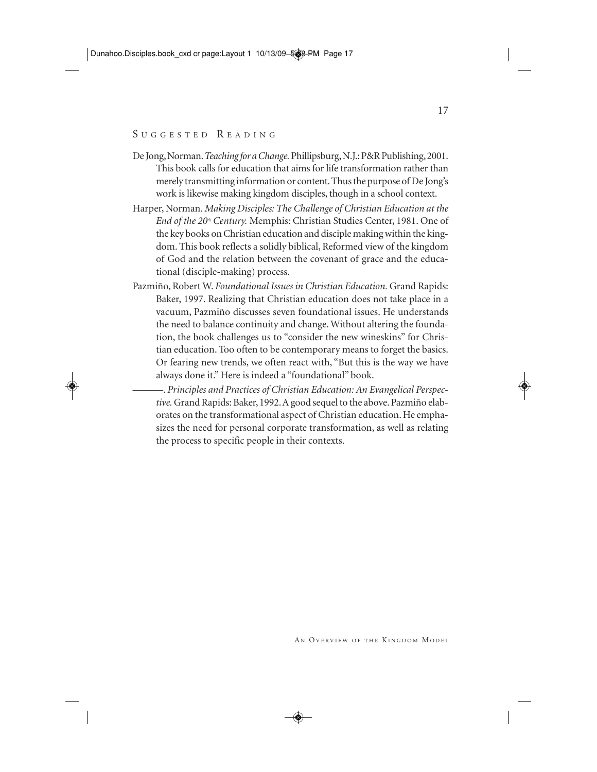## SUGGESTED READING

- De Jong, Norman. Teaching for a Change. Phillipsburg, N.J.: P&R Publishing, 2001. This book calls for education that aims for life transformation rather than merely transmitting information or content. Thus the purpose of De Jong's work is likewise making kingdom disciples, though in a school context.
- Harper, Norman. *Making Disciples: The Challenge of Christian Education at the End of the 20<sup>th</sup> Century.* Memphis: Christian Studies Center, 1981. One of the key books on Christian education and disciple making within the kingdom. This book reflects a solidly biblical, Reformed view of the kingdom of God and the relation between the covenant of grace and the educational (disciple-making) process.
- Pazmiño, Robert W. *Foundational Issues in Christian Education.* Grand Rapids: Baker, 1997. Realizing that Christian education does not take place in a vacuum, Pazmiño discusses seven foundational issues. He understands the need to balance continuity and change.Without altering the foundation, the book challenges us to "consider the new wineskins" for Christian education. Too often to be contemporary means to forget the basics. Or fearing new trends, we often react with, "But this is the way we have always done it." Here is indeed a "foundational" book.
	- ———. *Principles and Practices of Christian Education: An Evangelical Perspec*tive. Grand Rapids: Baker, 1992. A good sequel to the above. Pazmiño elaborates on the transformational aspect of Christian education.He emphasizes the need for personal corporate transformation, as well as relating the process to specific people in their contexts.

AN OVERVIEW OF THE KINGDOM MODEL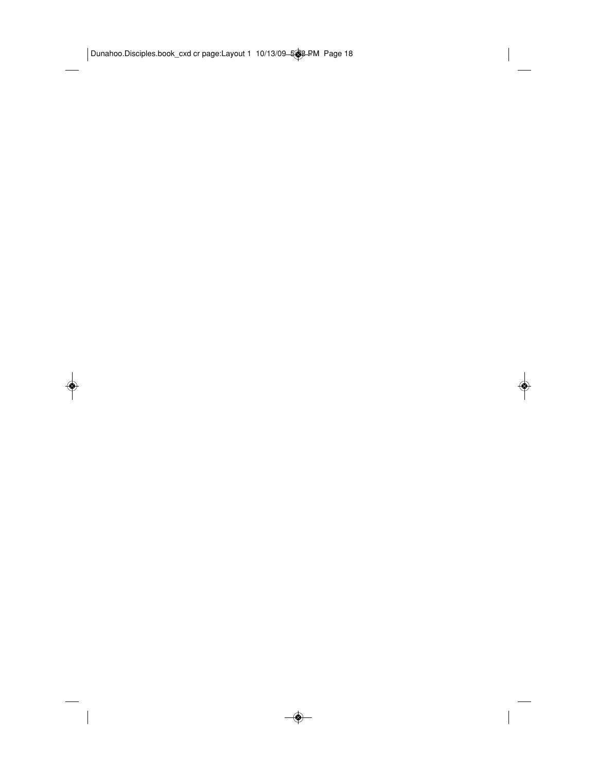Dunahoo.Disciples.book\_cxd cr page:Layout 1 10/13/09 5<sup>2</sup>/8 PM Page 18

 $\overline{\bullet}$ 

◈

◈